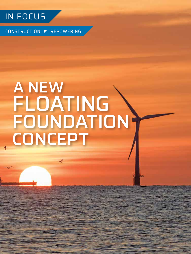

**12** DECEMBER 2020

CONSTRUCTION REPOWERING

# A NEW FLOATING FOUNDATION CONCEPT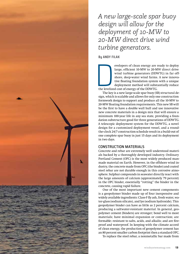*A new large-scale spar buoy design will allow for the deployment of 10-MW to 20-MW direct drive wind turbine generators.*

#### **By ANDY FILAK**

The levelize evelopers of clean energy are ready to deploy large, efficient 10-MW to 20-MW direct drive wind turbine generators (DDWTG) in far offshore, deep-water wind farms. A new innovative floating foundation system with a unique deployment method will substantially reduce the levelized cost of energy of the DDWTG.

The key is a new large-scale spar buoy (SB) structural design, which is scalable and allows for only one construction formwork design to support and produce all the 10-MW to 20-MW floating foundation requirements. This new SB will be the first to have a double wall hull and use innovative new concrete materials in a design mix that will ensure a minimum 100-year life in any sea state, providing a foundation substructure good for three generations of DDWTG. A telescopic deployment system for the DDWTG, a novel design for a customized deployment vessel, and a roundthe-clock 24/7 construction schedule result in a build-out of one complete spar buoy in just 15 days and its deployment in two days.

#### CONSTRUCTION MATERIALS

Concrete and rebar are extremely well understood materials backed by a thoroughly developed industry. Ordinary Portland Cement (OPC) is the most widely produced manmade material on Earth. However, in the offshore wind industry, the concrete made from OPC (the binder) and coated steel rebar are not durable enough in this corrosive atmosphere. Sulphur compounds in seawater directly react with the large amounts of calcium (approximately 79 percent) in the OPC binder, essentially "rotting" the binder in the concrete, causing rapid failure.

One of the most important new cement components is a geopolymer binder made up of four inexpensive and widely available ingredients: Class-F fly ash, fresh water, water-glass (sodium silicate), and lye (sodium hydroxide). This geopolymer binder can have as little as 2 percent calcium, producing a saltwater-resistant material. In general, geopolymer cement (binders) are stronger; bond well to most materials; have minimal expansion or contraction; are formable; resistant to salts, acids, and alkalis; and are fireproof and waterproof. In keeping with the climate accord of clean energy, the production of geopolymer cement has an 80 percent smaller carbon footprint then a standard OPC.

To replace the steel rebar, a nonmetallic bar made from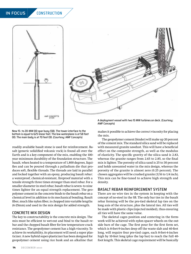### IN FOCUS CONSTRUCTION

CONCEPTS<br>2/1/20

New 15- to 20-MW DD spar buoy (SB). The tower interface to the bottom is equal to 625 linear feet. The low waterplane is at 58 feet OD. The main body is at 70 feet OD. (Courtesy: AMF Concepts)

readily available basalt stone is used for reinforcement. Basalt (generic solidified volcanic rock) is found all over the Earth and is a key component of the mix, enabling the 100 year minimum durability of the foundation structure. The basalt, when heated to a temperature of 1,800 degrees, liquifies and can be poured through a palladium die that produces soft, flexible threads. The threads are laid in parallel and locked together with an epoxy, producing basalt rebar: a waterproof, chemical-resistant, fireproof material with a tensile strength three times stronger than steel rebar. For a smaller diameter in steel rebar, basalt rebar is seven- to nine times lighter for an equal strength replacement. The geopolymer cement in the concrete binds to the basalt rebar on a chemical level in addition to its mechanical bonding. Basalt fiber, much like nylon fiber, is chopped into variable lengths (6-25mm) and used in the mix design for added strength.

#### CONCRETE MIX DESIGN

The key to constructability is the concrete mix design. The mix must be efficient to wet-out and bind to the basalt rebar and the chopped basalt fiber for low temperature crack resistance. The geopolymer cement has a high viscosity. To achieve its workability, its placement will need a super plasticizer. A new hybrid super-plasticizer has been designed for geopolymer cement using rice husk and an alkaline that

A deployment vessel with two 15 MW turbines on deck. (Courtesy: AMF Concepts)

makes it possible to achieve the correct viscosity for placing the mix.

The geopolymer cement (binder) will make up 20 percent of the cement mix. The standard silica sand will be replaced with measured granite sawdust. This will have a beneficial effect on the composite strength, as well as the modulus of elasticity. The specific gravity of the silica sand is 2.83, whereas the granite ranges from 2.65 to 2.85, so the final mix is lighter. The porosity of silica sand is 25 to 30 percent and holds unwanted water in the mix design, whereas the porosity of the granite is almost zero (0.25 percent). The chosen aggregates will be crushed granite (3/16 to 1/4 inch). This mix can be fine-tuned to achieve high strength and density.

#### BASALT REBAR REINFORCEMENT SYSTEM

There are no wire ties in the system in keeping with the concept of no-steel in the SB. The only bar ties in the basalt rebar forming will be the pre-tied skeletal lap ties on the long axis of the structure, plus the lateral ties. All ties will be made with plastic clips (injected molded), thus ensuring all ties will have the same value.

The skeletal cages position and centering in the formwork will be achieved with nylon spacer wheels on the outside bars of the cage. The first pour for the first form set, which is 8-feet-9-inches deep off the waste slab and 40-feet long, will require four pre-tied cages, each 8-feet-4-inches high by 10-feet long (plus the lap bar) to reach the full 40 foot length. This skeletal cage requirement will be basically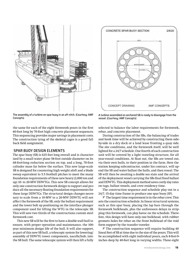



The assembly of a turbine on spar buoy in an aft nitch. (Courtesy: AMF Concepts)

the same for each of the eight formwork pours in the first 40-foot long by 70-foot high concrete placement sequences. This sequencing provides major savings in placement costs. The construction tying of the skeletal cages is a good fall back field assignment.

#### SPAR BUOY DESIGN ELEMENTS

The spar buoy (SB) is 625 feet long overall and is characterized by a small water plane 58-foot outside diameter on its 68-foot-long reduction section on top, and a long, 70-foot cylinder mass far below the surface. This new large-scale SB is designed for countering high weight aloft and a blade sweep equivalent to 5.5 football pitches to meet the many foundation requirements of these new heavy (2,000 ton and up) 10- to 20-MW DDWTGs. This new SB concept allows for only one construction formwork design to support and produce all the necessary floating foundation requirements for these large DDWTGs. The structural design changes necessary to scale from a 10-MW to a 20-MW DDWTG will not affect the formwork of the SB, only the ballast requirement and the tower bolt up positioning on the interface plunger component used for lifting the WTG in the telescopic SB. This will save two thirds of the constructions custom steel formwork cost.

This new SB will be the first to have a double wall hull to ensure, with proper operation and maintenance, the 100 year minimum design life of the hull. It will also support, as part of this new SB hull, a telescopic system for lowering/ assembly of DDWTG tower components, nacelle/hub, into the SB hull. The same telescopic system will then lift a fully

A turbine assembled on anchored SB is ready to disengage from the vessel. (Courtesy: AMF Concepts)

selected to balance the labor requirements for formwork, rebar, and concrete placement.

During construction of the SBs, the balancing of trades and hook time will be achieved by constructing them sideby-side in a dry dock or a land lease fronting a quay side. The site conditions, and the formwork itself, will be well lighted for a 24/7 schedule. One fourth of each construction unit will be covered by a light traveling structure, for all year-round conditions. At float out, the SBs are towed out, via their own hulls, to their position in the farm. Here the station keeping subcontractor, under his contract, will upend the SB and water ballast the hulls, and then reseal. The SB will then be awaiting a doable sea state and the arrival of the deployment vessel carrying the SBs final fixed ballast and DDWTG. This deployment method saves costly day rates on tugs, ballast vessels, and crew residency time.

The construction sequence and schedule play out in a 24/7, 15-day time frame to produce one spar buoy (SP).

 $\blacktriangleright$  The largest time requirement is in the rebar crew. This sets the construction schedule. In linear structural systems, such as this spar buoy, placing the lap bars through the formwork bulkheads, plus the unforeseen delays in stripping this formwork, can play havoc on the schedule. Therefore, this design will have only one bulkhead, with rubber gromets holes for rebar on the front bulkhead of the void form support by the transfer traveler.

 $\blacktriangledown$  The construction sequence will require building 40 lineal feet of SB at time due to the size of the pours. This will be accomplished with eight individual pours, each 8-feet-9 inches deep by 40-feet long in varying widths. These eight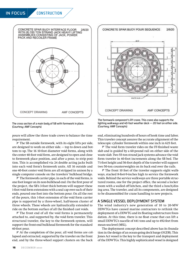## CONCRETE SPAR BUOY INTERFACE FLOOR 2/6/20 VOITH (8) 330 TON STRAND JACK HEAVY LIFTING<br>ASSEMBLIES CONSISTING OF JACK, POWER PACK AND RECOILER FRAME **CONCEPT DRAWING** AMF CONCEPTS

The cross section of a main body of SB with formwork in place. (Courtesy: AMF Concepts)

pours will allow the three trade crews to balance the time requirement.

 $\blacktriangledown$  The SB outside formwork, with its eight lifts per side, are designed to work on either side. — top to down and bottom to up. The 16 10-foot diameter void forms, along with the center 40-foot void form, are designed to open and close to formwork place position, and after a pour, to strip position. This is accomplished via 24 double acting jacks built into each void form's formwork units. All 16 outside and one 40-foot center void form are all stripped in unison by a single computer console on the travelers' bulkhead bridge.

 $\blacktriangledown$  The formwork carrier pipe, in each of the void forms, is one foot longer on its non-bulkhead end. On the first pour of the project, the SB's 3-foot thick bottom will support these 1-foot void form extensions with a seal cap over each of their ends, poured one foot into the bottom pour. On all the rest of the pours, this 1-foot extension of the void form carrier pipe is supported by a three-wheel, half-moon cluster of three wheels. These wheels are hydraulically extended to ride on the bottom surface of all the finished cast voids.

 $\blacktriangledown$  The front end of all the void forms is permanently attached to, and supported by, the void form traveler. This structural traveler, the key to the formwork system, will support the front-end bulkhead formwork for the standard 40-foot pour.

 $\blacktriangleright$  At the completion of the pour, all void forms are collapsed and extracted, supported by the traveler on the front end, and by the three-wheel support clusters on the back



The formwork component's lift crane. This crane also supports the lighting walkways and 40-foot weather deck — 20 feet on either side. (Courtesy: AMF Concepts)

end, eliminating hundreds of hours of hook time and labor. This traveler concept assures the accurate alignment of the telescopic cylinder formwork within one inch in 625 feet.

 $\blacktriangledown$  The void form traveler rides on the FF-finished waste slab and is guided by a 60-pound rail on either side of the waste slab. Two 55-ton strand jack systems advance the void form traveler in 40-foot increments along the SB bed. The 71-foot height and 56-foot depth of the traveler will support two 50-ton counterweights on its back end over the rails.

 $\blacktriangledown$  The front 10 feet of the traveler supports eight walkways, stacked 8-feet-9-inches high to service the formwork voids. Behind the service walkways are three portable structured rooms, one for the project office, the second a locker room with a walled off kitchen, and the third a lunch/dining area. The traveler, and all its components, are designed to be disassembled for crane handling to new projects.

#### A SINGLE VESSEL DEPLOYMENT SYSTEM

The wind industry's new generation of 10 to 20-MW DDWTGs have caused marine contractors to rethink the deployment of a DDWTG and its floating substructure foundation. At this time, there is no float crane that can lift a small DDWTG's nacelle of 441 tons and up to 492-feet from mean-sea-level (MSL).

The deployment concept described above has its foundation in the design of an ocean-going deck barge (OGDB). This Jones Act vessel is the key to the transport and deployment of the DDWTGs. This highly sophisticated vessel is designed